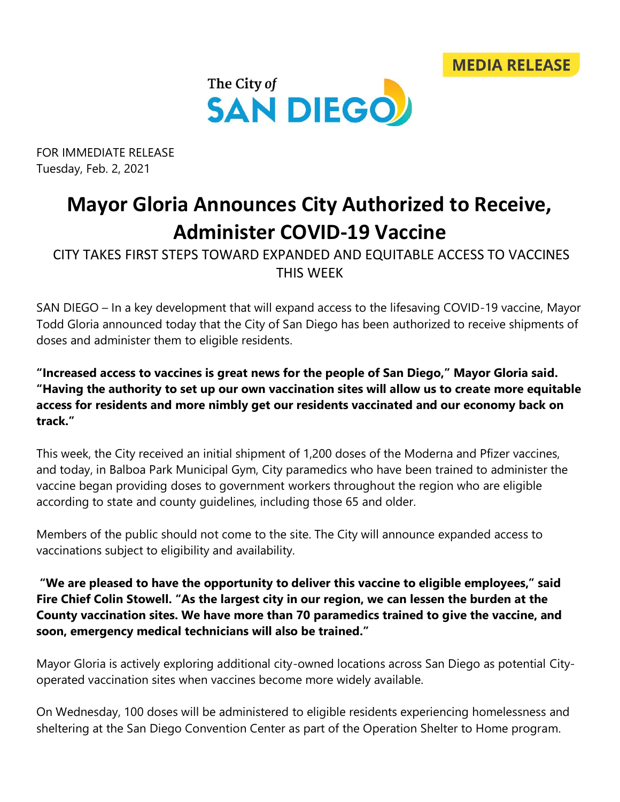



FOR IMMEDIATE RELEASE Tuesday, Feb. 2, 2021

## **Mayor Gloria Announces City Authorized to Receive, Administer COVID-19 Vaccine**

CITY TAKES FIRST STEPS TOWARD EXPANDED AND EQUITABLE ACCESS TO VACCINES THIS WEEK

SAN DIEGO – In a key development that will expand access to the lifesaving COVID-19 vaccine, Mayor Todd Gloria announced today that the City of San Diego has been authorized to receive shipments of doses and administer them to eligible residents.

**"Increased access to vaccines is great news for the people of San Diego," Mayor Gloria said. "Having the authority to set up our own vaccination sites will allow us to create more equitable access for residents and more nimbly get our residents vaccinated and our economy back on track."**

This week, the City received an initial shipment of 1,200 doses of the Moderna and Pfizer vaccines, and today, in Balboa Park Municipal Gym, City paramedics who have been trained to administer the vaccine began providing doses to government workers throughout the region who are eligible according to state and county guidelines, including those 65 and older.

Members of the public should not come to the site. The City will announce expanded access to vaccinations subject to eligibility and availability.

**"We are pleased to have the opportunity to deliver this vaccine to eligible employees," said Fire Chief Colin Stowell. "As the largest city in our region, we can lessen the burden at the County vaccination sites. We have more than 70 paramedics trained to give the vaccine, and soon, emergency medical technicians will also be trained."** 

Mayor Gloria is actively exploring additional city-owned locations across San Diego as potential Cityoperated vaccination sites when vaccines become more widely available.

On Wednesday, 100 doses will be administered to eligible residents experiencing homelessness and sheltering at the San Diego Convention Center as part of the Operation Shelter to Home program.